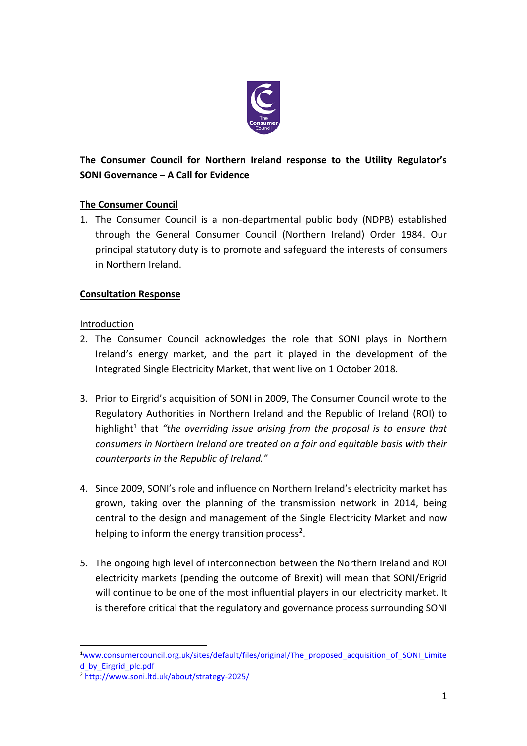

# **The Consumer Council for Northern Ireland response to the Utility Regulator's SONI Governance – A Call for Evidence**

# **The Consumer Council**

1. The Consumer Council is a non-departmental public body (NDPB) established through the General Consumer Council (Northern Ireland) Order 1984. Our principal statutory duty is to promote and safeguard the interests of consumers in Northern Ireland.

# **Consultation Response**

# **Introduction**

- 2. The Consumer Council acknowledges the role that SONI plays in Northern Ireland's energy market, and the part it played in the development of the Integrated Single Electricity Market, that went live on 1 October 2018.
- 3. Prior to Eirgrid's acquisition of SONI in 2009, The Consumer Council wrote to the Regulatory Authorities in Northern Ireland and the Republic of Ireland (ROI) to highlight<sup>1</sup> that "the overriding issue arising from the proposal is to ensure that *consumers in Northern Ireland are treated on a fair and equitable basis with their counterparts in the Republic of Ireland."*
- 4. Since 2009, SONI's role and influence on Northern Ireland's electricity market has grown, taking over the planning of the transmission network in 2014, being central to the design and management of the Single Electricity Market and now helping to inform the energy transition process<sup>2</sup>.
- 5. The ongoing high level of interconnection between the Northern Ireland and ROI electricity markets (pending the outcome of Brexit) will mean that SONI/Erigrid will continue to be one of the most influential players in our electricity market. It is therefore critical that the regulatory and governance process surrounding SONI

 $\overline{a}$ 

<sup>&</sup>lt;sup>1</sup>[www.consumercouncil.org.uk/sites/default/files/original/The\\_proposed\\_acquisition\\_of\\_SONI\\_Limite](http://www.consumercouncil.org.uk/sites/default/files/original/The_proposed_acquisition_of_SONI_Limited_by_Eirgrid_plc.pdf) [d\\_by\\_Eirgrid\\_plc.pdf](http://www.consumercouncil.org.uk/sites/default/files/original/The_proposed_acquisition_of_SONI_Limited_by_Eirgrid_plc.pdf)

<sup>2</sup> <http://www.soni.ltd.uk/about/strategy-2025/>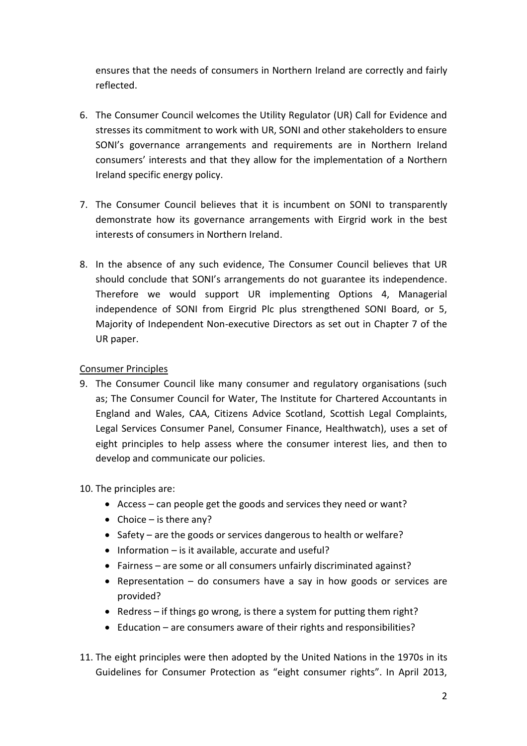ensures that the needs of consumers in Northern Ireland are correctly and fairly reflected.

- 6. The Consumer Council welcomes the Utility Regulator (UR) Call for Evidence and stresses its commitment to work with UR, SONI and other stakeholders to ensure SONI's governance arrangements and requirements are in Northern Ireland consumers' interests and that they allow for the implementation of a Northern Ireland specific energy policy.
- 7. The Consumer Council believes that it is incumbent on SONI to transparently demonstrate how its governance arrangements with Eirgrid work in the best interests of consumers in Northern Ireland.
- 8. In the absence of any such evidence, The Consumer Council believes that UR should conclude that SONI's arrangements do not guarantee its independence. Therefore we would support UR implementing Options 4, Managerial independence of SONI from Eirgrid Plc plus strengthened SONI Board, or 5, Majority of Independent Non-executive Directors as set out in Chapter 7 of the UR paper.

### Consumer Principles

- 9. The Consumer Council like many consumer and regulatory organisations (such as; The Consumer Council for Water, The Institute for Chartered Accountants in England and Wales, CAA, Citizens Advice Scotland, Scottish Legal Complaints, Legal Services Consumer Panel, Consumer Finance, Healthwatch), uses a set of eight principles to help assess where the consumer interest lies, and then to develop and communicate our policies.
- 10. The principles are:
	- Access can people get the goods and services they need or want?
	- Choice is there any?
	- Safety are the goods or services dangerous to health or welfare?
	- $\bullet$  Information is it available, accurate and useful?
	- Fairness are some or all consumers unfairly discriminated against?
	- Representation do consumers have a say in how goods or services are provided?
	- Redress if things go wrong, is there a system for putting them right?
	- Education are consumers aware of their rights and responsibilities?
- 11. The eight principles were then adopted by the United Nations in the 1970s in its Guidelines for Consumer Protection as "eight consumer rights". In April 2013,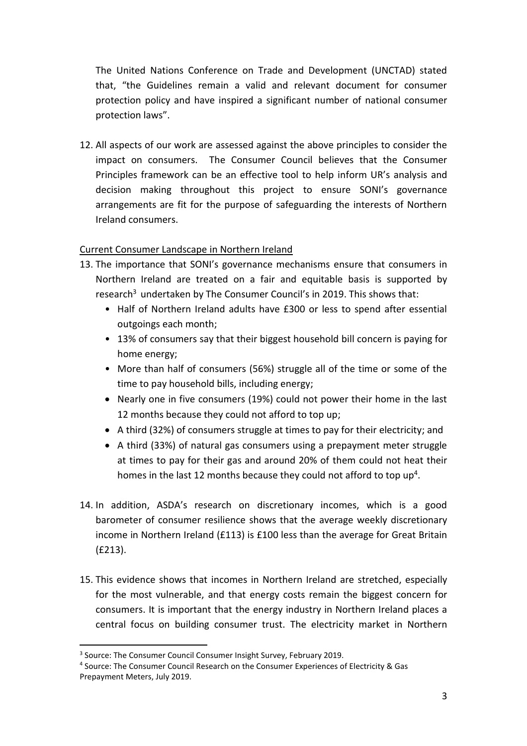The United Nations Conference on Trade and Development (UNCTAD) stated that, "the Guidelines remain a valid and relevant document for consumer protection policy and have inspired a significant number of national consumer protection laws".

12. All aspects of our work are assessed against the above principles to consider the impact on consumers. The Consumer Council believes that the Consumer Principles framework can be an effective tool to help inform UR's analysis and decision making throughout this project to ensure SONI's governance arrangements are fit for the purpose of safeguarding the interests of Northern Ireland consumers.

### Current Consumer Landscape in Northern Ireland

- 13. The importance that SONI's governance mechanisms ensure that consumers in Northern Ireland are treated on a fair and equitable basis is supported by research<sup>3</sup> undertaken by The Consumer Council's in 2019. This shows that:
	- Half of Northern Ireland adults have £300 or less to spend after essential outgoings each month;
	- 13% of consumers say that their biggest household bill concern is paying for home energy;
	- More than half of consumers (56%) struggle all of the time or some of the time to pay household bills, including energy;
	- Nearly one in five consumers (19%) could not power their home in the last 12 months because they could not afford to top up;
	- A third (32%) of consumers struggle at times to pay for their electricity; and
	- A third (33%) of natural gas consumers using a prepayment meter struggle at times to pay for their gas and around 20% of them could not heat their homes in the last 12 months because they could not afford to top up<sup>4</sup>.
- 14. In addition, ASDA's research on discretionary incomes, which is a good barometer of consumer resilience shows that the average weekly discretionary income in Northern Ireland (£113) is £100 less than the average for Great Britain (£213).
- 15. This evidence shows that incomes in Northern Ireland are stretched, especially for the most vulnerable, and that energy costs remain the biggest concern for consumers. It is important that the energy industry in Northern Ireland places a central focus on building consumer trust. The electricity market in Northern

 $\overline{a}$ 

<sup>&</sup>lt;sup>3</sup> Source: The Consumer Council Consumer Insight Survey, February 2019.

<sup>4</sup> Source: The Consumer Council Research on the Consumer Experiences of Electricity & Gas Prepayment Meters, July 2019.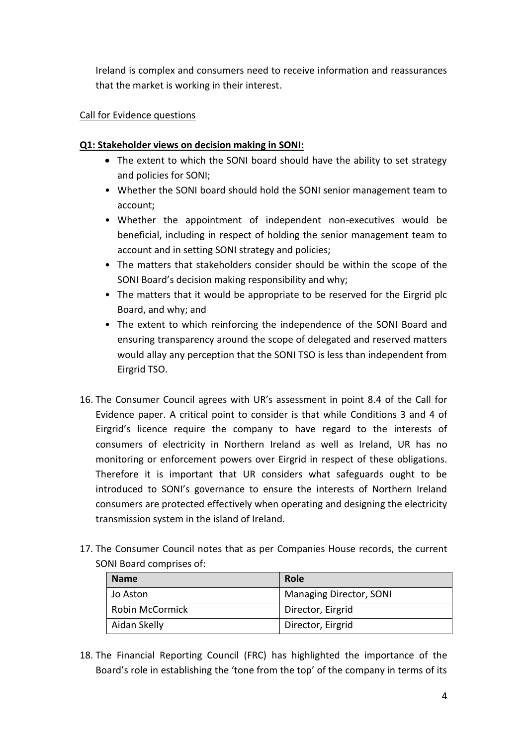Ireland is complex and consumers need to receive information and reassurances that the market is working in their interest.

#### Call for Evidence questions

#### **Q1: Stakeholder views on decision making in SONI:**

- The extent to which the SONI board should have the ability to set strategy and policies for SONI;
- Whether the SONI board should hold the SONI senior management team to account;
- Whether the appointment of independent non-executives would be beneficial, including in respect of holding the senior management team to account and in setting SONI strategy and policies;
- The matters that stakeholders consider should be within the scope of the SONI Board's decision making responsibility and why;
- The matters that it would be appropriate to be reserved for the Eirgrid plc Board, and why; and
- The extent to which reinforcing the independence of the SONI Board and ensuring transparency around the scope of delegated and reserved matters would allay any perception that the SONI TSO is less than independent from Eirgrid TSO.
- 16. The Consumer Council agrees with UR's assessment in point 8.4 of the Call for Evidence paper. A critical point to consider is that while Conditions 3 and 4 of Eirgrid's licence require the company to have regard to the interests of consumers of electricity in Northern Ireland as well as Ireland, UR has no monitoring or enforcement powers over Eirgrid in respect of these obligations. Therefore it is important that UR considers what safeguards ought to be introduced to SONI's governance to ensure the interests of Northern Ireland consumers are protected effectively when operating and designing the electricity transmission system in the island of Ireland.
- 17. The Consumer Council notes that as per Companies House records, the current SONI Board comprises of:

| <b>Name</b>     | <b>Role</b>             |
|-----------------|-------------------------|
| Jo Aston        | Managing Director, SONI |
| Robin McCormick | Director, Eirgrid       |
| Aidan Skelly    | Director, Eirgrid       |

18. The Financial Reporting Council (FRC) has highlighted the importance of the Board's role in establishing the 'tone from the top' of the company in terms of its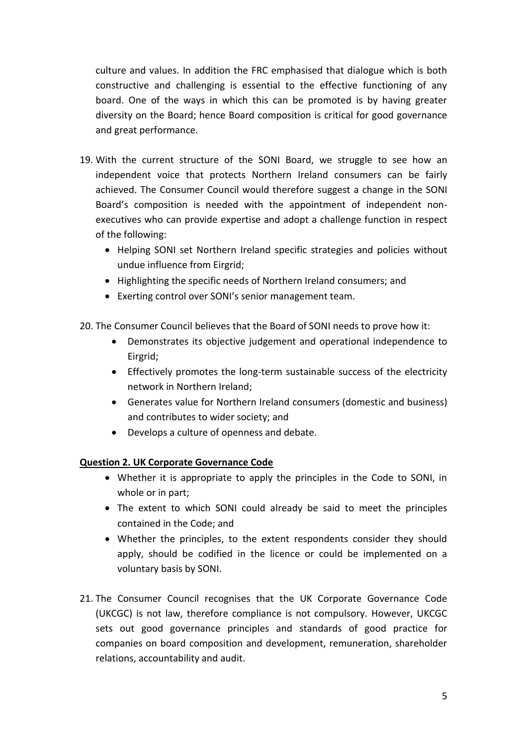culture and values. In addition the FRC emphasised that dialogue which is both constructive and challenging is essential to the effective functioning of any board. One of the ways in which this can be promoted is by having greater diversity on the Board; hence Board composition is critical for good governance and great performance.

- 19. With the current structure of the SONI Board, we struggle to see how an independent voice that protects Northern Ireland consumers can be fairly achieved. The Consumer Council would therefore suggest a change in the SONI Board's composition is needed with the appointment of independent nonexecutives who can provide expertise and adopt a challenge function in respect of the following:
	- Helping SONI set Northern Ireland specific strategies and policies without undue influence from Eirgrid;
	- Highlighting the specific needs of Northern Ireland consumers; and
	- Exerting control over SONI's senior management team.
- 20. The Consumer Council believes that the Board of SONI needs to prove how it:
	- Demonstrates its objective judgement and operational independence to Eirgrid;
	- Effectively promotes the long-term sustainable success of the electricity network in Northern Ireland;
	- Generates value for Northern Ireland consumers (domestic and business) and contributes to wider society; and
	- Develops a culture of openness and debate.

### **Question 2. UK Corporate Governance Code**

- Whether it is appropriate to apply the principles in the Code to SONI, in whole or in part;
- The extent to which SONI could already be said to meet the principles contained in the Code; and
- Whether the principles, to the extent respondents consider they should apply, should be codified in the licence or could be implemented on a voluntary basis by SONI.
- 21. The Consumer Council recognises that the UK Corporate Governance Code (UKCGC) is not law, therefore compliance is not compulsory. However, UKCGC sets out good governance principles and standards of good practice for companies on board composition and development, remuneration, shareholder relations, accountability and audit.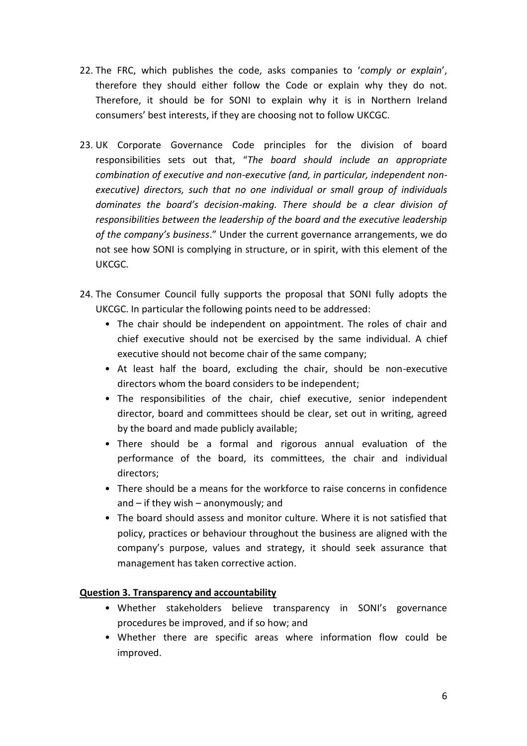- 22. The FRC, which publishes the code, asks companies to '*comply or explain*', therefore they should either follow the Code or explain why they do not. Therefore, it should be for SONI to explain why it is in Northern Ireland consumers' best interests, if they are choosing not to follow UKCGC.
- 23. UK Corporate Governance Code principles for the division of board responsibilities sets out that, "*The board should include an appropriate combination of executive and non-executive (and, in particular, independent nonexecutive) directors, such that no one individual or small group of individuals dominates the board's decision-making. There should be a clear division of responsibilities between the leadership of the board and the executive leadership of the company's business*." Under the current governance arrangements, we do not see how SONI is complying in structure, or in spirit, with this element of the UKCGC.
- 24. The Consumer Council fully supports the proposal that SONI fully adopts the UKCGC. In particular the following points need to be addressed:
	- The chair should be independent on appointment. The roles of chair and chief executive should not be exercised by the same individual. A chief executive should not become chair of the same company;
	- At least half the board, excluding the chair, should be non-executive directors whom the board considers to be independent;
	- The responsibilities of the chair, chief executive, senior independent director, board and committees should be clear, set out in writing, agreed by the board and made publicly available;
	- There should be a formal and rigorous annual evaluation of the performance of the board, its committees, the chair and individual directors;
	- There should be a means for the workforce to raise concerns in confidence and – if they wish – anonymously; and
	- The board should assess and monitor culture. Where it is not satisfied that policy, practices or behaviour throughout the business are aligned with the company's purpose, values and strategy, it should seek assurance that management has taken corrective action.

### **Question 3. Transparency and accountability**

- Whether stakeholders believe transparency in SONI's governance procedures be improved, and if so how; and
- Whether there are specific areas where information flow could be improved.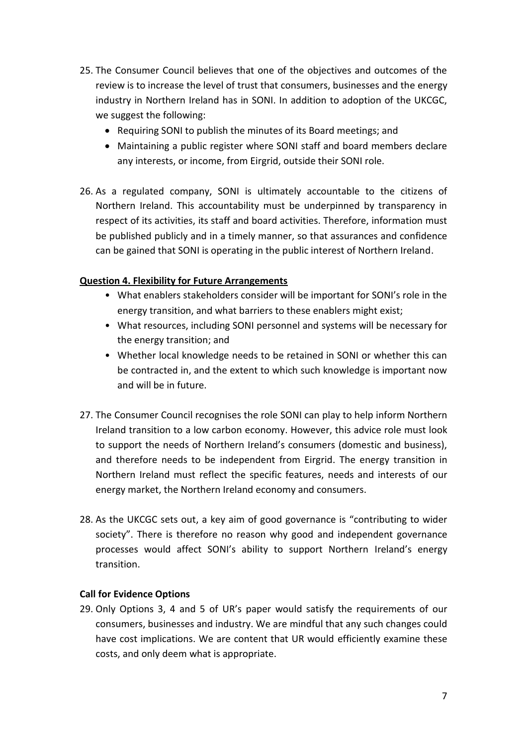- 25. The Consumer Council believes that one of the objectives and outcomes of the review is to increase the level of trust that consumers, businesses and the energy industry in Northern Ireland has in SONI. In addition to adoption of the UKCGC, we suggest the following:
	- Requiring SONI to publish the minutes of its Board meetings; and
	- Maintaining a public register where SONI staff and board members declare any interests, or income, from Eirgrid, outside their SONI role.
- 26. As a regulated company, SONI is ultimately accountable to the citizens of Northern Ireland. This accountability must be underpinned by transparency in respect of its activities, its staff and board activities. Therefore, information must be published publicly and in a timely manner, so that assurances and confidence can be gained that SONI is operating in the public interest of Northern Ireland.

### **Question 4. Flexibility for Future Arrangements**

- What enablers stakeholders consider will be important for SONI's role in the energy transition, and what barriers to these enablers might exist;
- What resources, including SONI personnel and systems will be necessary for the energy transition; and
- Whether local knowledge needs to be retained in SONI or whether this can be contracted in, and the extent to which such knowledge is important now and will be in future.
- 27. The Consumer Council recognises the role SONI can play to help inform Northern Ireland transition to a low carbon economy. However, this advice role must look to support the needs of Northern Ireland's consumers (domestic and business), and therefore needs to be independent from Eirgrid. The energy transition in Northern Ireland must reflect the specific features, needs and interests of our energy market, the Northern Ireland economy and consumers.
- 28. As the UKCGC sets out, a key aim of good governance is "contributing to wider society". There is therefore no reason why good and independent governance processes would affect SONI's ability to support Northern Ireland's energy transition.

#### **Call for Evidence Options**

29. Only Options 3, 4 and 5 of UR's paper would satisfy the requirements of our consumers, businesses and industry. We are mindful that any such changes could have cost implications. We are content that UR would efficiently examine these costs, and only deem what is appropriate.